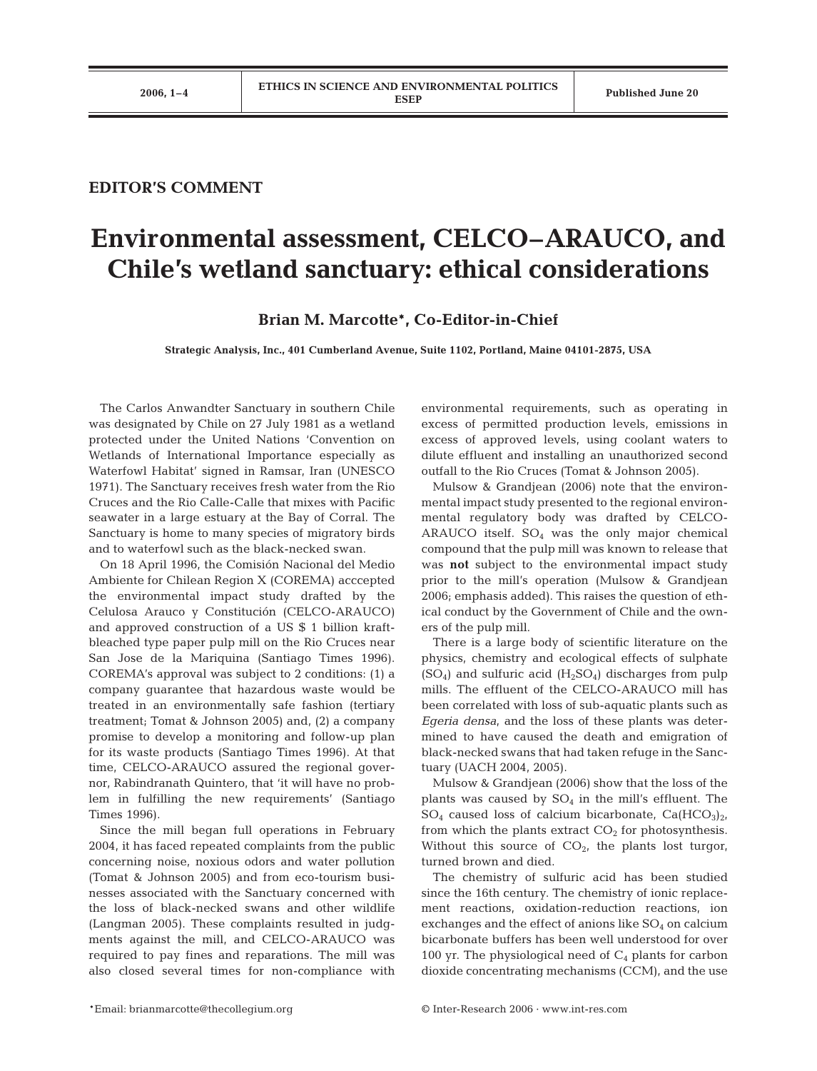## **EDITOR'S COMMENT**

## **Environmental assessment, CELCO–ARAUCO, and Chile's wetland sanctuary: ethical considerations**

**Brian M. Marcotte\*, Co-Editor-in-Chief**

**Strategic Analysis, Inc., 401 Cumberland Avenue, Suite 1102, Portland, Maine 04101-2875, USA**

The Carlos Anwandter Sanctuary in southern Chile was designated by Chile on 27 July 1981 as a wetland protected under the United Nations 'Convention on Wetlands of International Importance especially as Waterfowl Habitat' signed in Ramsar, Iran (UNESCO 1971). The Sanctuary receives fresh water from the Rio Cruces and the Rio Calle-Calle that mixes with Pacific seawater in a large estuary at the Bay of Corral. The Sanctuary is home to many species of migratory birds and to waterfowl such as the black-necked swan.

On 18 April 1996, the Comisión Nacional del Medio Ambiente for Chilean Region X (COREMA) acccepted the environmental impact study drafted by the Celulosa Arauco y Constitución (CELCO-ARAUCO) and approved construction of a US \$ 1 billion kraftbleached type paper pulp mill on the Rio Cruces near San Jose de la Mariquina (Santiago Times 1996). COREMA's approval was subject to 2 conditions: (1) a company guarantee that hazardous waste would be treated in an environmentally safe fashion (tertiary treatment; Tomat & Johnson 2005) and, (2) a company promise to develop a monitoring and follow-up plan for its waste products (Santiago Times 1996). At that time, CELCO-ARAUCO assured the regional governor, Rabindranath Quintero, that 'it will have no problem in fulfilling the new requirements' (Santiago Times 1996).

Since the mill began full operations in February 2004, it has faced repeated complaints from the public concerning noise, noxious odors and water pollution (Tomat & Johnson 2005) and from eco-tourism businesses associated with the Sanctuary concerned with the loss of black-necked swans and other wildlife (Langman 2005). These complaints resulted in judgments against the mill, and CELCO-ARAUCO was required to pay fines and reparations. The mill was also closed several times for non-compliance with environmental requirements, such as operating in excess of permitted production levels, emissions in excess of approved levels, using coolant waters to dilute effluent and installing an unauthorized second outfall to the Rio Cruces (Tomat & Johnson 2005).

Mulsow & Grandjean (2006) note that the environmental impact study presented to the regional environmental regulatory body was drafted by CELCO-ARAUCO itself.  $SO_4$  was the only major chemical compound that the pulp mill was known to release that was **not** subject to the environmental impact study prior to the mill's operation (Mulsow & Grandjean 2006; emphasis added). This raises the question of ethical conduct by the Government of Chile and the owners of the pulp mill.

There is a large body of scientific literature on the physics, chemistry and ecological effects of sulphate  $(SO_4)$  and sulfuric acid  $(H_2SO_4)$  discharges from pulp mills. The effluent of the CELCO-ARAUCO mill has been correlated with loss of sub-aquatic plants such as *Egeria densa*, and the loss of these plants was determined to have caused the death and emigration of black-necked swans that had taken refuge in the Sanctuary (UACH 2004, 2005).

Mulsow & Grandjean (2006) show that the loss of the plants was caused by  $SO_4$  in the mill's effluent. The  $SO_4$  caused loss of calcium bicarbonate,  $Ca(HCO_3)_{21}$ from which the plants extract  $CO<sub>2</sub>$  for photosynthesis. Without this source of  $CO<sub>2</sub>$ , the plants lost turgor, turned brown and died.

The chemistry of sulfuric acid has been studied since the 16th century. The chemistry of ionic replacement reactions, oxidation-reduction reactions, ion exchanges and the effect of anions like  $SO<sub>4</sub>$  on calcium bicarbonate buffers has been well understood for over 100 yr. The physiological need of  $C_4$  plants for carbon dioxide concentrating mechanisms (CCM), and the use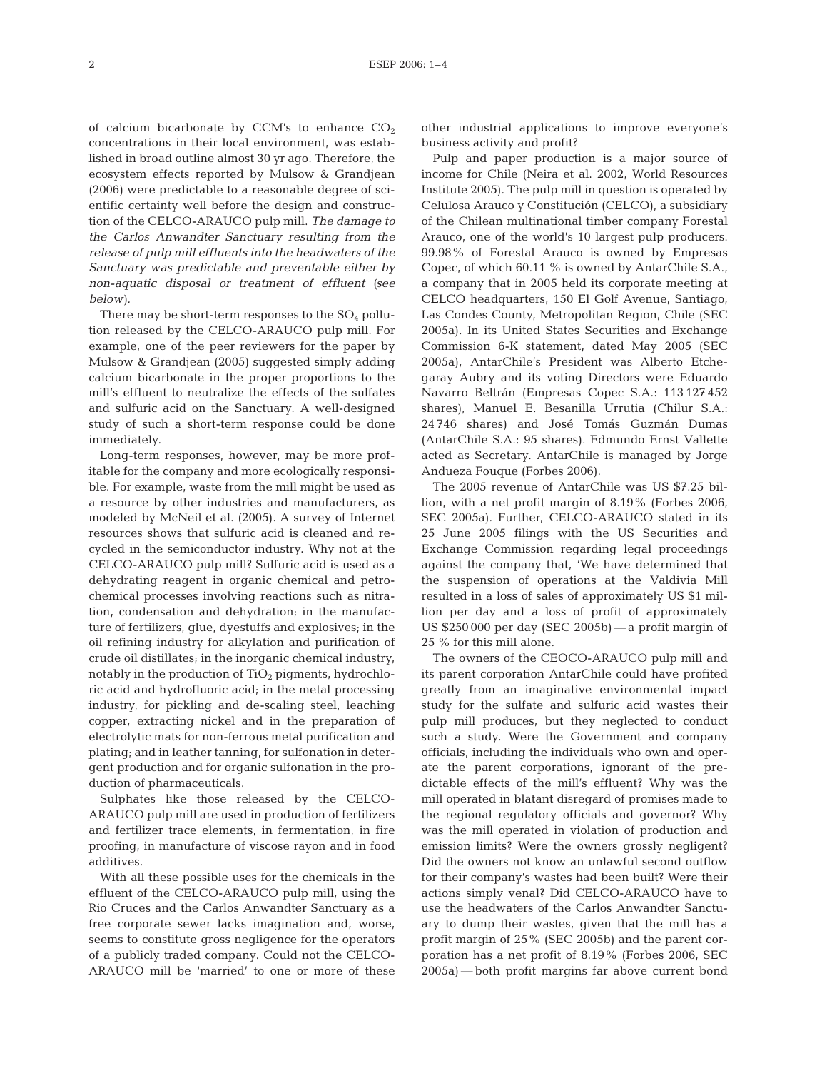of calcium bicarbonate by CCM's to enhance  $CO<sub>2</sub>$ concentrations in their local environment, was established in broad outline almost 30 yr ago. Therefore, the ecosystem effects reported by Mulsow & Grandjean (2006) were predictable to a reasonable degree of scientific certainty well before the design and construction of the CELCO-ARAUCO pulp mill. *The damage to the Carlos Anwandter Sanctuary resulting from the release of pulp mill effluents into the headwaters of the Sanctuary was predictable and preventable either by non-aquatic disposal or treatment of effluent (see below).*

There may be short-term responses to the  $SO_4$  pollution released by the CELCO-ARAUCO pulp mill. For example, one of the peer reviewers for the paper by Mulsow & Grandjean (2005) suggested simply adding calcium bicarbonate in the proper proportions to the mill's effluent to neutralize the effects of the sulfates and sulfuric acid on the Sanctuary. A well-designed study of such a short-term response could be done immediately.

Long-term responses, however, may be more profitable for the company and more ecologically responsible. For example, waste from the mill might be used as a resource by other industries and manufacturers, as modeled by McNeil et al. (2005). A survey of Internet resources shows that sulfuric acid is cleaned and recycled in the semiconductor industry. Why not at the CELCO-ARAUCO pulp mill? Sulfuric acid is used as a dehydrating reagent in organic chemical and petrochemical processes involving reactions such as nitration, condensation and dehydration; in the manufacture of fertilizers, glue, dyestuffs and explosives; in the oil refining industry for alkylation and purification of crude oil distillates; in the inorganic chemical industry, notably in the production of  $TiO<sub>2</sub>$  pigments, hydrochloric acid and hydrofluoric acid; in the metal processing industry, for pickling and de-scaling steel, leaching copper, extracting nickel and in the preparation of electrolytic mats for non-ferrous metal purification and plating; and in leather tanning, for sulfonation in detergent production and for organic sulfonation in the production of pharmaceuticals.

Sulphates like those released by the CELCO-ARAUCO pulp mill are used in production of fertilizers and fertilizer trace elements, in fermentation, in fire proofing, in manufacture of viscose rayon and in food additives.

With all these possible uses for the chemicals in the effluent of the CELCO-ARAUCO pulp mill, using the Rio Cruces and the Carlos Anwandter Sanctuary as a free corporate sewer lacks imagination and, worse, seems to constitute gross negligence for the operators of a publicly traded company. Could not the CELCO-ARAUCO mill be 'married' to one or more of these

other industrial applications to improve everyone's business activity and profit?

Pulp and paper production is a major source of income for Chile (Neira et al. 2002, World Resources Institute 2005). The pulp mill in question is operated by Celulosa Arauco y Constitución (CELCO), a subsidiary of the Chilean multinational timber company Forestal Arauco, one of the world's 10 largest pulp producers. 99.98% of Forestal Arauco is owned by Empresas Copec, of which 60.11 % is owned by AntarChile S.A., a company that in 2005 held its corporate meeting at CELCO headquarters, 150 El Golf Avenue, Santiago, Las Condes County, Metropolitan Region, Chile (SEC 2005a). In its United States Securities and Exchange Commission 6-K statement, dated May 2005 (SEC 2005a), AntarChile's President was Alberto Etchegaray Aubry and its voting Directors were Eduardo Navarro Beltrán (Empresas Copec S.A.: 113 127 452 shares), Manuel E. Besanilla Urrutia (Chilur S.A.: 24 746 shares) and José Tomás Guzmán Dumas (AntarChile S.A.: 95 shares). Edmundo Ernst Vallette acted as Secretary. AntarChile is managed by Jorge Andueza Fouque (Forbes 2006).

The 2005 revenue of AntarChile was US \$7.25 billion, with a net profit margin of 8.19% (Forbes 2006, SEC 2005a). Further, CELCO-ARAUCO stated in its 25 June 2005 filings with the US Securities and Exchange Commission regarding legal proceedings against the company that, 'We have determined that the suspension of operations at the Valdivia Mill resulted in a loss of sales of approximately US \$1 million per day and a loss of profit of approximately US \$250 000 per day (SEC 2005b) — a profit margin of 25 % for this mill alone.

The owners of the CEOCO-ARAUCO pulp mill and its parent corporation AntarChile could have profited greatly from an imaginative environmental impact study for the sulfate and sulfuric acid wastes their pulp mill produces, but they neglected to conduct such a study. Were the Government and company officials, including the individuals who own and operate the parent corporations, ignorant of the predictable effects of the mill's effluent? Why was the mill operated in blatant disregard of promises made to the regional regulatory officials and governor? Why was the mill operated in violation of production and emission limits? Were the owners grossly negligent? Did the owners not know an unlawful second outflow for their company's wastes had been built? Were their actions simply venal? Did CELCO-ARAUCO have to use the headwaters of the Carlos Anwandter Sanctuary to dump their wastes, given that the mill has a profit margin of 25% (SEC 2005b) and the parent corporation has a net profit of 8.19% (Forbes 2006, SEC 2005a) — both profit margins far above current bond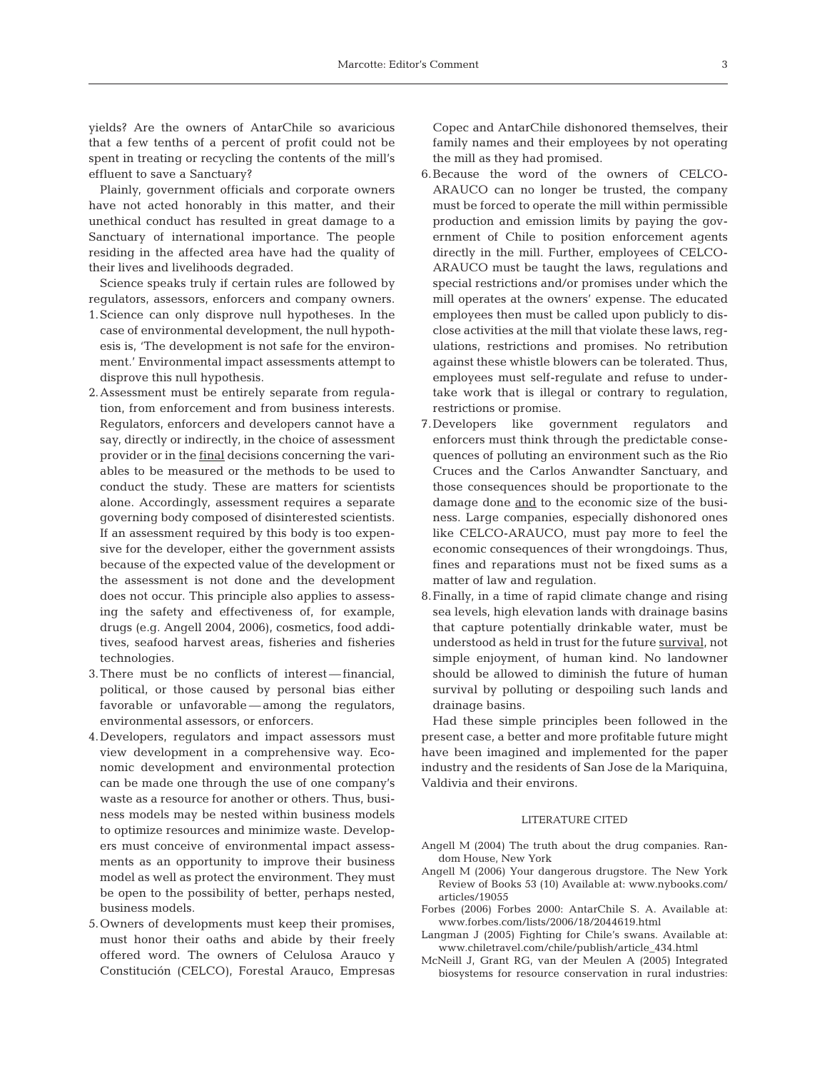yields? Are the owners of AntarChile so avaricious that a few tenths of a percent of profit could not be spent in treating or recycling the contents of the mill's effluent to save a Sanctuary?

Plainly, government officials and corporate owners have not acted honorably in this matter, and their unethical conduct has resulted in great damage to a Sanctuary of international importance. The people residing in the affected area have had the quality of their lives and livelihoods degraded.

Science speaks truly if certain rules are followed by regulators, assessors, enforcers and company owners.

- 1.Science can only disprove null hypotheses. In the case of environmental development, the null hypothesis is, 'The development is not safe for the environment.' Environmental impact assessments attempt to disprove this null hypothesis.
- 2.Assessment must be entirely separate from regulation, from enforcement and from business interests. Regulators, enforcers and developers cannot have a say, directly or indirectly, in the choice of assessment provider or in the final decisions concerning the variables to be measured or the methods to be used to conduct the study. These are matters for scientists alone. Accordingly, assessment requires a separate governing body composed of disinterested scientists. If an assessment required by this body is too expensive for the developer, either the government assists because of the expected value of the development or the assessment is not done and the development does not occur. This principle also applies to assessing the safety and effectiveness of, for example, drugs (e.g. Angell 2004, 2006), cosmetics, food additives, seafood harvest areas, fisheries and fisheries technologies.
- 3.There must be no conflicts of interest financial, political, or those caused by personal bias either favorable or unfavorable — among the regulators, environmental assessors, or enforcers.
- 4.Developers, regulators and impact assessors must view development in a comprehensive way. Economic development and environmental protection can be made one through the use of one company's waste as a resource for another or others. Thus, business models may be nested within business models to optimize resources and minimize waste. Developers must conceive of environmental impact assessments as an opportunity to improve their business model as well as protect the environment. They must be open to the possibility of better, perhaps nested, business models.
- 5.Owners of developments must keep their promises, must honor their oaths and abide by their freely offered word. The owners of Celulosa Arauco y Constitución (CELCO), Forestal Arauco, Empresas

Copec and AntarChile dishonored themselves, their family names and their employees by not operating the mill as they had promised.

- 6.Because the word of the owners of CELCO-ARAUCO can no longer be trusted, the company must be forced to operate the mill within permissible production and emission limits by paying the government of Chile to position enforcement agents directly in the mill. Further, employees of CELCO-ARAUCO must be taught the laws, regulations and special restrictions and/or promises under which the mill operates at the owners' expense. The educated employees then must be called upon publicly to disclose activities at the mill that violate these laws, regulations, restrictions and promises. No retribution against these whistle blowers can be tolerated. Thus, employees must self-regulate and refuse to undertake work that is illegal or contrary to regulation, restrictions or promise.
- 7.Developers like government regulators and enforcers must think through the predictable consequences of polluting an environment such as the Rio Cruces and the Carlos Anwandter Sanctuary, and those consequences should be proportionate to the damage done and to the economic size of the business. Large companies, especially dishonored ones like CELCO-ARAUCO, must pay more to feel the economic consequences of their wrongdoings. Thus, fines and reparations must not be fixed sums as a matter of law and regulation.
- 8.Finally, in a time of rapid climate change and rising sea levels, high elevation lands with drainage basins that capture potentially drinkable water, must be understood as held in trust for the future survival, not simple enjoyment, of human kind. No landowner should be allowed to diminish the future of human survival by polluting or despoiling such lands and drainage basins.

Had these simple principles been followed in the present case, a better and more profitable future might have been imagined and implemented for the paper industry and the residents of San Jose de la Mariquina, Valdivia and their environs.

## LITERATURE CITED

- Angell M (2004) The truth about the drug companies. Random House, New York
- Angell M (2006) Your dangerous drugstore. The New York Review of Books 53 (10) Available at: www.nybooks.com/ articles/19055
- Forbes (2006) Forbes 2000: AntarChile S. A. Available at: www.forbes.com/lists/2006/18/2044619.html
- Langman J (2005) Fighting for Chile's swans. Available at: www.chiletravel.com/chile/publish/article\_434.html
- McNeill J, Grant RG, van der Meulen A (2005) Integrated biosystems for resource conservation in rural industries: